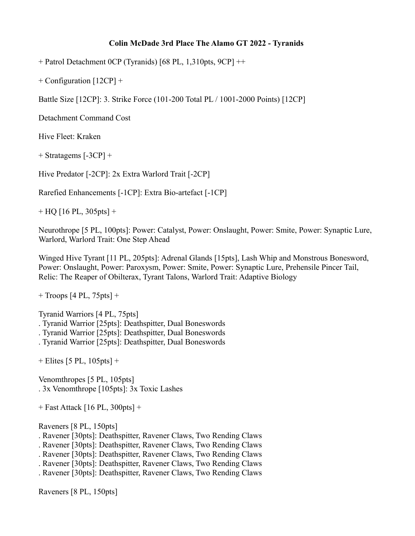## **Colin McDade 3rd Place The Alamo GT 2022 - Tyranids**

 $+$  Patrol Detachment 0CP (Tyranids) [68 PL, 1,310pts, 9CP]  $++$ 

+ Configuration [12CP] +

Battle Size [12CP]: 3. Strike Force (101-200 Total PL / 1001-2000 Points) [12CP]

Detachment Command Cost

Hive Fleet: Kraken

+ Stratagems [-3CP] +

Hive Predator [-2CP]: 2x Extra Warlord Trait [-2CP]

Rarefied Enhancements [-1CP]: Extra Bio-artefact [-1CP]

 $+$  HQ [16 PL, 305pts] +

Neurothrope [5 PL, 100pts]: Power: Catalyst, Power: Onslaught, Power: Smite, Power: Synaptic Lure, Warlord, Warlord Trait: One Step Ahead

Winged Hive Tyrant [11 PL, 205pts]: Adrenal Glands [15pts], Lash Whip and Monstrous Bonesword, Power: Onslaught, Power: Paroxysm, Power: Smite, Power: Synaptic Lure, Prehensile Pincer Tail, Relic: The Reaper of Obilterax, Tyrant Talons, Warlord Trait: Adaptive Biology

 $+$  Troops [4 PL, 75pts]  $+$ 

Tyranid Warriors [4 PL, 75pts]

. Tyranid Warrior [25pts]: Deathspitter, Dual Boneswords

. Tyranid Warrior [25pts]: Deathspitter, Dual Boneswords

. Tyranid Warrior [25pts]: Deathspitter, Dual Boneswords

 $+$  Elites [5 PL, 105pts]  $+$ 

Venomthropes [5 PL, 105pts] . 3x Venomthrope [105pts]: 3x Toxic Lashes

+ Fast Attack [16 PL, 300pts] +

Raveners [8 PL, 150pts]

- . Ravener [30pts]: Deathspitter, Ravener Claws, Two Rending Claws
- . Ravener [30pts]: Deathspitter, Ravener Claws, Two Rending Claws
- . Ravener [30pts]: Deathspitter, Ravener Claws, Two Rending Claws
- . Ravener [30pts]: Deathspitter, Ravener Claws, Two Rending Claws
- . Ravener [30pts]: Deathspitter, Ravener Claws, Two Rending Claws

Raveners [8 PL, 150pts]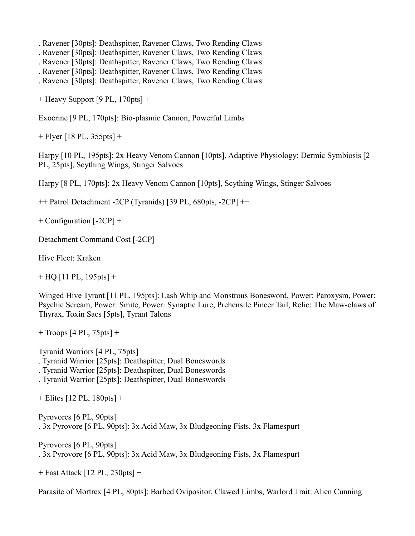. Ravener [30pts]: Deathspitter, Ravener Claws, Two Rending Claws

. Ravener [30pts]: Deathspitter, Ravener Claws, Two Rending Claws

. Ravener [30pts]: Deathspitter, Ravener Claws, Two Rending Claws

. Ravener [30pts]: Deathspitter, Ravener Claws, Two Rending Claws

. Ravener [30pts]: Deathspitter, Ravener Claws, Two Rending Claws

+ Heavy Support [9 PL, 170pts] +

Exocrine [9 PL, 170pts]: Bio-plasmic Cannon, Powerful Limbs

+ Flyer [18 PL, 355pts] +

Harpy [10 PL, 195pts]: 2x Heavy Venom Cannon [10pts], Adaptive Physiology: Dermic Symbiosis [2 PL, 25pts], Scything Wings, Stinger Salvoes

Harpy [8 PL, 170pts]: 2x Heavy Venom Cannon [10pts], Scything Wings, Stinger Salvoes

 $++$  Patrol Detachment -2CP (Tyranids) [39 PL, 680pts, -2CP]  $++$ 

+ Configuration [-2CP] +

Detachment Command Cost [-2CP]

Hive Fleet: Kraken

 $+$  HQ [11 PL, 195 pts]  $+$ 

Winged Hive Tyrant [11 PL, 195pts]: Lash Whip and Monstrous Bonesword, Power: Paroxysm, Power: Psychic Scream, Power: Smite, Power: Synaptic Lure, Prehensile Pincer Tail, Relic: The Maw-claws of Thyrax, Toxin Sacs [5pts], Tyrant Talons

+ Troops [4 PL, 75pts] +

Tyranid Warriors [4 PL, 75pts] . Tyranid Warrior [25pts]: Deathspitter, Dual Boneswords . Tyranid Warrior [25pts]: Deathspitter, Dual Boneswords

. Tyranid Warrior [25pts]: Deathspitter, Dual Boneswords

+ Elites [12 PL, 180pts] +

Pyrovores [6 PL, 90pts] . 3x Pyrovore [6 PL, 90pts]: 3x Acid Maw, 3x Bludgeoning Fists, 3x Flamespurt

Pyrovores [6 PL, 90pts] . 3x Pyrovore [6 PL, 90pts]: 3x Acid Maw, 3x Bludgeoning Fists, 3x Flamespurt

+ Fast Attack [12 PL, 230pts] +

Parasite of Mortrex [4 PL, 80pts]: Barbed Ovipositor, Clawed Limbs, Warlord Trait: Alien Cunning